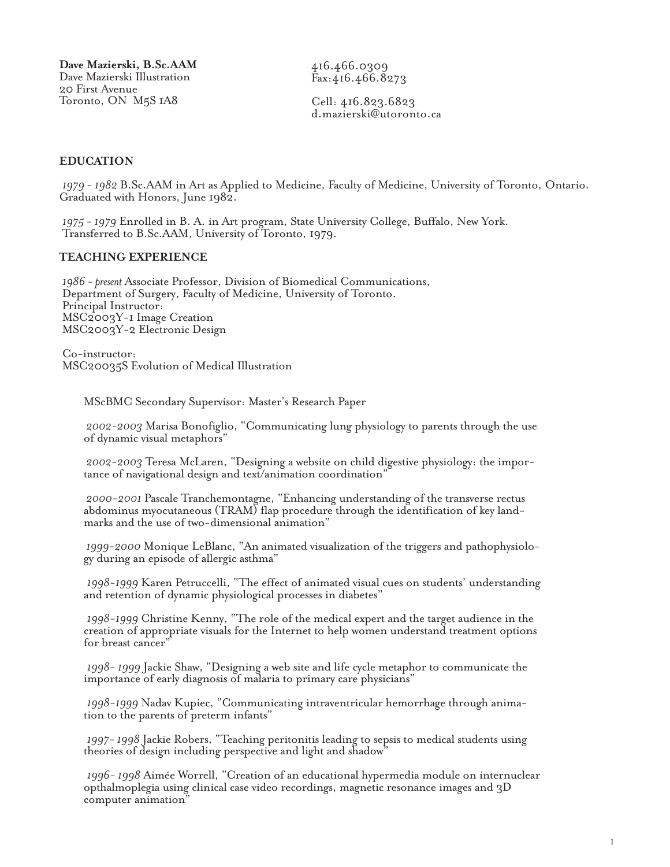416.466.0309 Fax:416.466.8273

Cell: 416.823.6823 d.mazierski@utoronto.ca

#### **EDUCATION**

*1979 - 1982* B.Sc.AAM in Art as Applied to Medicine, Faculty of Medicine, University of Toronto, Ontario. Graduated with Honors, June 1982.

*1975 - 1979* Enrolled in B. A. in Art program, State University College, Buffalo, New York. Transferred to B.Sc.AAM, University of Toronto, 1979.

#### **TEACHING EXPERIENCE**

*1986 - present* Associate Professor, Division of Biomedical Communications, Department of Surgery, Faculty of Medicine, University of Toronto. Principal Instructor: MSC2003Y-1 Image Creation MSC2003Y-2 Electronic Design

Co-instructor: MSC20035S Evolution of Medical Illustration

MScBMC Secondary Supervisor: Master's Research Paper

*2002-2003* Marisa Bonofiglio, "Communicating lung physiology to parents through the use of dynamic visual metaphors"

*2002-2003* Teresa McLaren, "Designing a website on child digestive physiology: the importance of navigational design and text/animation coordination"

*2000-2001* Pascale Tranchemontagne, "Enhancing understanding of the transverse rectus abdominus myocutaneous (TRAM) flap procedure through the identification of key landmarks and the use of two-dimensional animation"

*1999-2000* Monique LeBlanc, "An animated visualization of the triggers and pathophysiology during an episode of allergic asthma"

*1998-1999* Karen Petruccelli, "The effect of animated visual cues on students' understanding and retention of dynamic physiological processes in diabetes"

*1998-1999* Christine Kenny, "The role of the medical expert and the target audience in the creation of appropriate visuals for the Internet to help women understand treatment options for breast cancer"

*1998- 1999* Jackie Shaw, "Designing a web site and life cycle metaphor to communicate the importance of early diagnosis of malaria to primary care physicians"

*1998-1999* Nadav Kupiec, "Communicating intraventricular hemorrhage through animation to the parents of preterm infants"

*1997- 1998* Jackie Robers, "Teaching peritonitis leading to sepsis to medical students using theories of design including perspective and light and shadow"

*1996- 1998* Aimée Worrell, "Creation of an educational hypermedia module on internuclear opthalmoplegia using clinical case video recordings, magnetic resonance images and 3D computer animation"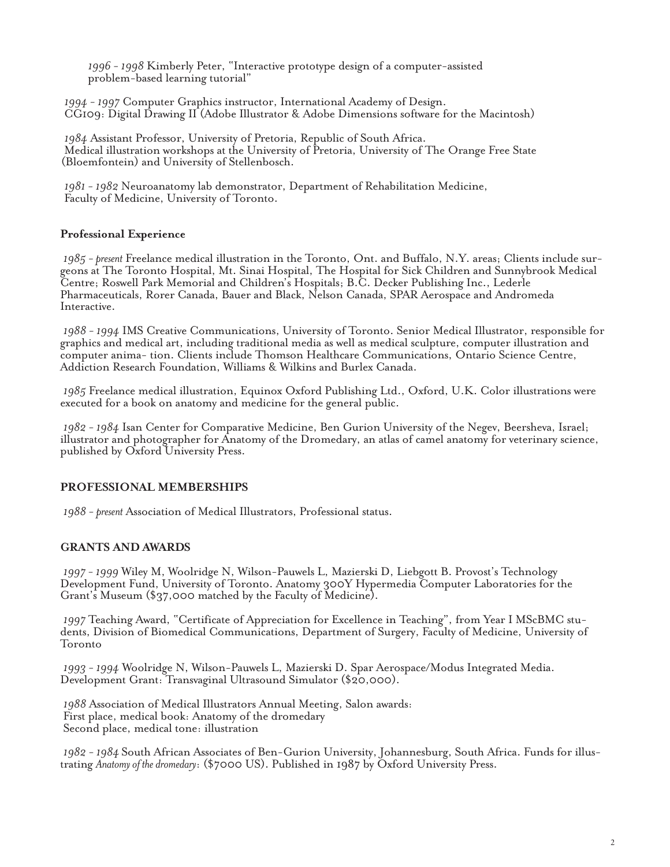*1996 - 1998* Kimberly Peter, "Interactive prototype design of a computer-assisted problem-based learning tutorial"

*1994 - 1997* Computer Graphics instructor, International Academy of Design.<br>CG109: Digital Drawing II (Adobe Illustrator & Adobe Dimensions software for the Macintosh)

*1984* Assistant Professor, University of Pretoria, Republic of South Africa. Medical illustration workshops at the University of Pretoria, University of The Orange Free State (Bloemfontein) and University of Stellenbosch.

*1981 - 1982* Neuroanatomy lab demonstrator, Department of Rehabilitation Medicine, Faculty of Medicine, University of Toronto.

# **Professional Experience**

*1985 - present* Freelance medical illustration in the Toronto, Ont. and Buffalo, N.Y. areas; Clients include surgeons at The Toronto Hospital, Mt. Sinai Hospital, The Hospital for Sick Children and Sunnybrook Medical Centre; Roswell Park Memorial and Children's Hospitals; B.C. Decker Publishing Inc., Lederle Pharmaceuticals, Rorer Canada, Bauer and Black, Nelson Canada, SPAR Aerospace and Andromeda Interactive.

*1988 - 1994* IMS Creative Communications, University of Toronto. Senior Medical Illustrator, responsible for graphics and medical art, including traditional media as well as medical sculpture, computer illustration and computer anima- tion. Clients include Thomson Healthcare Communications, Ontario Science Centre, Addiction Research Foundation, Williams & Wilkins and Burlex Canada.

*1985* Freelance medical illustration, Equinox Oxford Publishing Ltd., Oxford, U.K. Color illustrations were executed for a book on anatomy and medicine for the general public.

*1982 - 1984* Isan Center for Comparative Medicine, Ben Gurion University of the Negev, Beersheva, Israel; illustrator and photographer for Anatomy of the Dromedary, an atlas of camel anatomy for veterinary science, published by Oxford University Press.

## **PROFESSIONAL MEMBERSHIPS**

*1988 - present* Association of Medical Illustrators, Professional status.

## **GRANTS AND AWARDS**

*1997 - 1999* Wiley M, Woolridge N, Wilson-Pauwels L, Mazierski D, Liebgott B. Provost's Technology Development Fund, University of Toronto. Anatomy 300Y Hypermedia Computer Laboratories for the Grant's Museum (\$37,000 matched by the Faculty of Medicine).

*1997* Teaching Award, "Certificate of Appreciation for Excellence in Teaching", from Year I MScBMC students, Division of Biomedical Communications, Department of Surgery, Faculty of Medicine, University of Toronto

*1993 - 1994* Woolridge N, Wilson-Pauwels L, Mazierski D. Spar Aerospace/Modus Integrated Media. Development Grant: Transvaginal Ultrasound Simulator (\$20,000).

*1988* Association of Medical Illustrators Annual Meeting, Salon awards: First place, medical book: Anatomy of the dromedary Second place, medical tone: illustration

*1982 - 1984* South African Associates of Ben-Gurion University, Johannesburg, South Africa. Funds for illustrating *Anatomy of the dromedary*: (\$7000 US). Published in 1987 by Oxford University Press.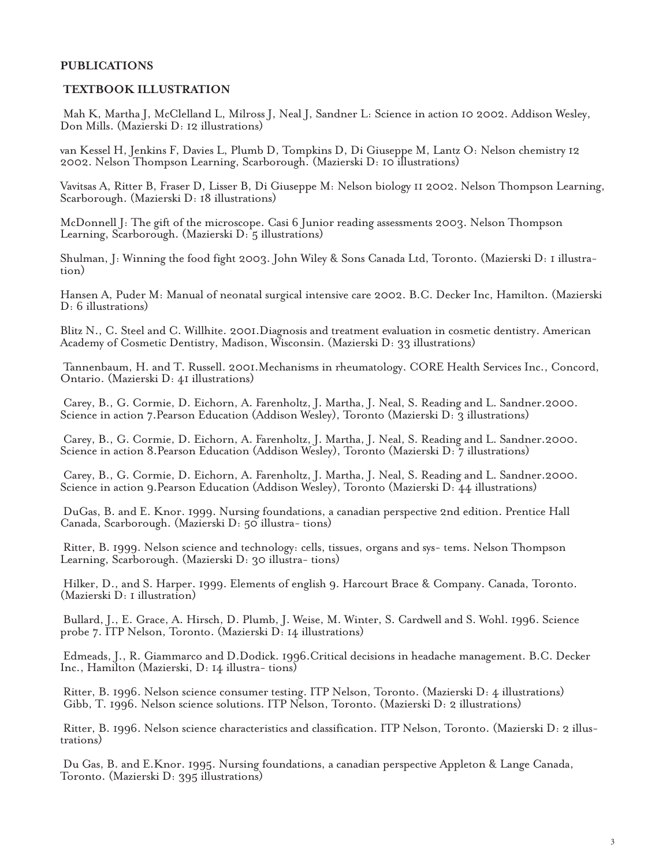# **PUBLICATIONS**

#### **TEXTBOOK ILLUSTRATION**

Mah K, Martha J, McClelland L, Milross J, Neal J, Sandner L: Science in action 10 2002. Addison Wesley, Don Mills. (Mazierski D: 12 illustrations)

van Kessel H, Jenkins F, Davies L, Plumb D, Tompkins D, Di Giuseppe M, Lantz O: Nelson chemistry 12 2002. Nelson Thompson Learning, Scarborough. (Mazierski D: 10 illustrations)

Vavitsas A, Ritter B, Fraser D, Lisser B, Di Giuseppe M: Nelson biology 11 2002. Nelson Thompson Learning, Scarborough. (Mazierski D: 18 illustrations)

McDonnell J: The gift of the microscope. Casi 6 Junior reading assessments 2003. Nelson Thompson Learning, Scarborough. (Mazierski D: 5 illustrations)

Shulman, J: Winning the food fight 2003. John Wiley & Sons Canada Ltd, Toronto. (Mazierski D: 1 illustration)

Hansen A, Puder M: Manual of neonatal surgical intensive care 2002. B.C. Decker Inc, Hamilton. (Mazierski D: 6 illustrations)

Blitz N., C. Steel and C. Willhite. 2001.Diagnosis and treatment evaluation in cosmetic dentistry. American Academy of Cosmetic Dentistry, Madison, Wisconsin. (Mazierski D: 33 illustrations)

Tannenbaum, H. and T. Russell. 2001.Mechanisms in rheumatology. CORE Health Services Inc., Concord, Ontario. (Mazierski D: 41 illustrations)

Carey, B., G. Cormie, D. Eichorn, A. Farenholtz, J. Martha, J. Neal, S. Reading and L. Sandner.2000. Science in action 7. Pearson Education (Addison Wesley), Toronto (Mazierski D: 3 illustrations)

Carey, B., G. Cormie, D. Eichorn, A. Farenholtz, J. Martha, J. Neal, S. Reading and L. Sandner.2000. Science in action 8. Pearson Education (Addison Wesley), Toronto (Mazierski D: 7 illustrations)

Carey, B., G. Cormie, D. Eichorn, A. Farenholtz, J. Martha, J. Neal, S. Reading and L. Sandner.2000. Science in action 9.Pearson Education (Addison Wesley), Toronto (Mazierski D: 44 illustrations)

DuGas, B. and E. Knor. 1999. Nursing foundations, a canadian perspective 2nd edition. Prentice Hall Canada, Scarborough. (Mazierski D: 50 illustra- tions)

Ritter, B. 1999. Nelson science and technology: cells, tissues, organs and sys- tems. Nelson Thompson Learning, Scarborough. (Mazierski D: 30 illustra- tions)

Hilker, D., and S. Harper. 1999. Elements of english 9. Harcourt Brace & Company. Canada, Toronto. (Mazierski D: 1 illustration)

Bullard, J., E. Grace, A. Hirsch, D. Plumb, J. Weise, M. Winter, S. Cardwell and S. Wohl. 1996. Science probe 7. ITP Nelson, Toronto. (Mazierski D: 14 illustrations)

Edmeads, J., R. Giammarco and D.Dodick. 1996.Critical decisions in headache management. B.C. Decker Inc., Hamilton (Mazierski, D: 14 illustra- tions)

Ritter, B. 1996. Nelson science consumer testing. ITP Nelson, Toronto. (Mazierski D: 4 illustrations) Gibb, T. 1996. Nelson science solutions. ITP Nelson, Toronto. (Mazierski D: 2 illustrations)

Ritter, B. 1996. Nelson science characteristics and classification. ITP Nelson, Toronto. (Mazierski D: 2 illustrations)

Du Gas, B. and E.Knor. 1995. Nursing foundations, a canadian perspective Appleton & Lange Canada, Toronto. (Mazierski D: 395 illustrations)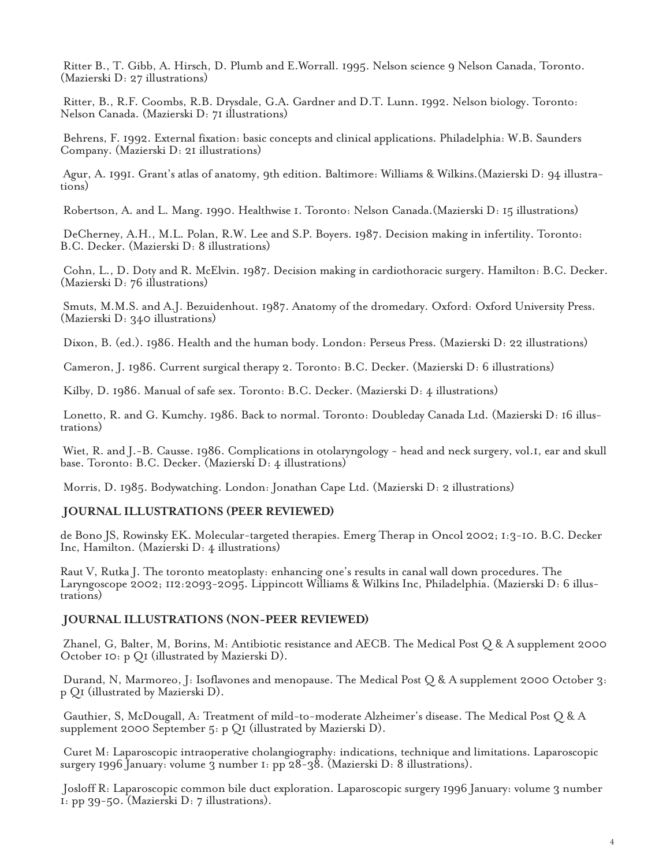Ritter B., T. Gibb, A. Hirsch, D. Plumb and E.Worrall. 1995. Nelson science 9 Nelson Canada, Toronto. (Mazierski D: 27 illustrations)

Ritter, B., R.F. Coombs, R.B. Drysdale, G.A. Gardner and D.T. Lunn. 1992. Nelson biology. Toronto: Nelson Canada. (Mazierski D: 71 illustrations)

Behrens, F. 1992. External fixation: basic concepts and clinical applications. Philadelphia: W.B. Saunders Company. (Mazierski D: 21 illustrations)

Agur, A. 1991. Grant's atlas of anatomy, 9th edition. Baltimore: Williams & Wilkins.(Mazierski D: 94 illustrations)

Robertson, A. and L. Mang. 1990. Healthwise 1. Toronto: Nelson Canada.(Mazierski D: 15 illustrations)

DeCherney, A.H., M.L. Polan, R.W. Lee and S.P. Boyers. 1987. Decision making in infertility. Toronto: B.C. Decker. (Mazierski D: 8 illustrations)

Cohn, L., D. Doty and R. McElvin. 1987. Decision making in cardiothoracic surgery. Hamilton: B.C. Decker. (Mazierski D: 76 illustrations)

Smuts, M.M.S. and A.J. Bezuidenhout. 1987. Anatomy of the dromedary. Oxford: Oxford University Press. (Mazierski D: 340 illustrations)

Dixon, B. (ed.). 1986. Health and the human body. London: Perseus Press. (Mazierski D: 22 illustrations)

Cameron, J. 1986. Current surgical therapy 2. Toronto: B.C. Decker. (Mazierski D: 6 illustrations)

Kilby, D. 1986. Manual of safe sex. Toronto: B.C. Decker. (Mazierski D: 4 illustrations)

Lonetto, R. and G. Kumchy. 1986. Back to normal. Toronto: Doubleday Canada Ltd. (Mazierski D: 16 illustrations)

Wiet, R. and J.-B. Causse. 1986. Complications in otolaryngology - head and neck surgery, vol.1, ear and skull base. Toronto: B.C. Decker. (Mazierski D: 4 illustrations)

Morris, D. 1985. Bodywatching. London: Jonathan Cape Ltd. (Mazierski D: 2 illustrations)

#### **JOURNAL ILLUSTRATIONS (PEER REVIEWED)**

de Bono JS, Rowinsky EK. Molecular-targeted therapies. Emerg Therap in Oncol 2002; 1:3-10. B.C. Decker Inc, Hamilton. (Mazierski D: 4 illustrations)

Raut V, Rutka J. The toronto meatoplasty: enhancing one's results in canal wall down procedures. The Laryngoscope 2002; 112:2093-2095. Lippincott Williams & Wilkins Inc, Philadelphia. (Mazierski D: 6 illustrations)

#### **JOURNAL ILLUSTRATIONS (NON-PEER REVIEWED)**

Zhanel, G, Balter, M, Borins, M: Antibiotic resistance and AECB. The Medical Post Q & A supplement 2000 October 10: p Q1 (illustrated by Mazierski D).

Durand, N, Marmoreo, J: Isoflavones and menopause. The Medical Post Q & A supplement 2000 October 3: p Q1 (illustrated by Mazierski D).

Gauthier, S, McDougall, A: Treatment of mild-to-moderate Alzheimer's disease. The Medical Post Q & A supplement 2000 September 5: p Q1 (illustrated by Mazierski D).

Curet M: Laparoscopic intraoperative cholangiography: indications, technique and limitations. Laparoscopic surgery 1996 January: volume 3 number 1: pp 28-38. (Mazierski D: 8 illustrations).

Josloff R: Laparoscopic common bile duct exploration. Laparoscopic surgery 1996 January: volume 3 number 1: pp 39-50. (Mazierski D: 7 illustrations).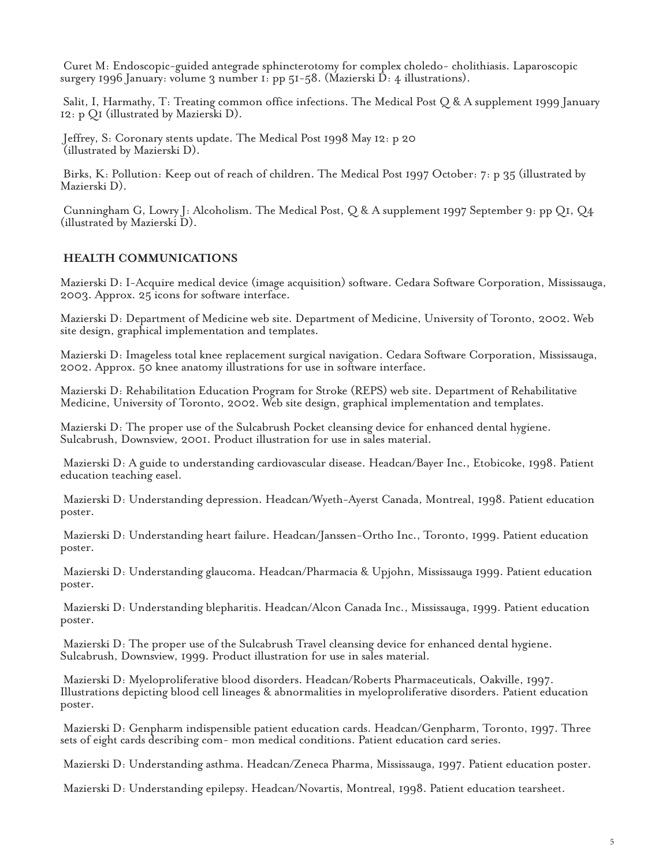Curet M: Endoscopic-guided antegrade sphincterotomy for complex choledo- cholithiasis. Laparoscopic surgery 1996 January: volume 3 number 1: pp 51-58. (Mazierski D: 4 illustrations).

Salit, I, Harmathy, T: Treating common office infections. The Medical Post Q & A supplement 1999 January 12: p Q1 (illustrated by Mazierski D).

Jeffrey, S: Coronary stents update. The Medical Post 1998 May 12: p 20 (illustrated by Mazierski D).

Birks, K: Pollution: Keep out of reach of children. The Medical Post 1997 October: 7: p 35 (illustrated by Mazierski D).

Cunningham G, Lowry J: Alcoholism. The Medical Post, Q & A supplement 1997 September 9: pp Q1, Q4 (illustrated by Mazierski D).

## **HEALTH COMMUNICATIONS**

Mazierski D: I-Acquire medical device (image acquisition) software. Cedara Software Corporation, Mississauga, 2003. Approx. 25 icons for software interface.

Mazierski D: Department of Medicine web site. Department of Medicine, University of Toronto, 2002. Web site design, graphical implementation and templates.

Mazierski D: Imageless total knee replacement surgical navigation. Cedara Software Corporation, Mississauga, 2002. Approx. 50 knee anatomy illustrations for use in software interface.

Mazierski D: Rehabilitation Education Program for Stroke (REPS) web site. Department of Rehabilitative Medicine, University of Toronto, 2002. Web site design, graphical implementation and templates.

Mazierski D: The proper use of the Sulcabrush Pocket cleansing device for enhanced dental hygiene. Sulcabrush, Downsview, 2001. Product illustration for use in sales material.

Mazierski D: A guide to understanding cardiovascular disease. Headcan/Bayer Inc., Etobicoke, 1998. Patient education teaching easel.

Mazierski D: Understanding depression. Headcan/Wyeth-Ayerst Canada, Montreal, 1998. Patient education poster.

Mazierski D: Understanding heart failure. Headcan/Janssen-Ortho Inc., Toronto, 1999. Patient education poster.

Mazierski D: Understanding glaucoma. Headcan/Pharmacia & Upjohn, Mississauga 1999. Patient education poster.

Mazierski D: Understanding blepharitis. Headcan/Alcon Canada Inc., Mississauga, 1999. Patient education poster.

Mazierski D: The proper use of the Sulcabrush Travel cleansing device for enhanced dental hygiene. Sulcabrush, Downsview, 1999. Product illustration for use in sales material.

Mazierski D: Myeloproliferative blood disorders. Headcan/Roberts Pharmaceuticals, Oakville, 1997. Illustrations depicting blood cell lineages & abnormalities in myeloproliferative disorders. Patient education poster.

Mazierski D: Genpharm indispensible patient education cards. Headcan/Genpharm, Toronto, 1997. Three sets of eight cards describing com- mon medical conditions. Patient education card series.

Mazierski D: Understanding asthma. Headcan/Zeneca Pharma, Mississauga, 1997. Patient education poster.

Mazierski D: Understanding epilepsy. Headcan/Novartis, Montreal, 1998. Patient education tearsheet.